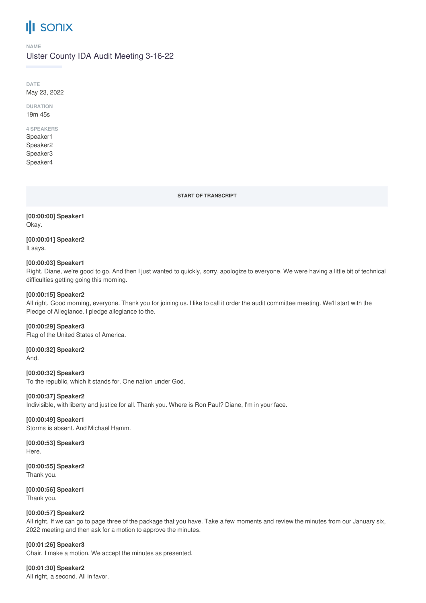# **III** sonix

#### **NAME**

Ulster County IDA Audit Meeting 3-16-22

**DATE** May 23, 2022

**DURATION** 19m 45s

#### **4 SPEAKERS**

Speaker1 Speaker2 Speaker3 Speaker4

**START OF TRANSCRIPT**

**[00:00:00] Speaker1** Okay.

**[00:00:01] Speaker2** It says.

#### **[00:00:03] Speaker1**

Right. Diane, we're good to go. And then I just wanted to quickly, sorry, apologize to everyone. We were having a little bit of technical difficulties getting going this morning.

#### **[00:00:15] Speaker2**

All right. Good morning, everyone. Thank you for joining us. I like to call it order the audit committee meeting. We'll start with the Pledge of Allegiance. I pledge allegiance to the.

**[00:00:29] Speaker3** Flag of the United States of America.

**[00:00:32] Speaker2** And.

**[00:00:32] Speaker3** To the republic, which it stands for. One nation under God.

### **[00:00:37] Speaker2**

Indivisible, with liberty and justice for all. Thank you. Where is Ron Paul? Diane, I'm in your face.

**[00:00:49] Speaker1** Storms is absent. And Michael Hamm.

**[00:00:53] Speaker3** Here.

**[00:00:55] Speaker2** Thank you.

**[00:00:56] Speaker1** Thank you.

### **[00:00:57] Speaker2**

All right. If we can go to page three of the package that you have. Take a few moments and review the minutes from our January six, 2022 meeting and then ask for a motion to approve the minutes.

**[00:01:26] Speaker3**

Chair. I make a motion. We accept the minutes as presented.

**[00:01:30] Speaker2** All right, a second. All in favor.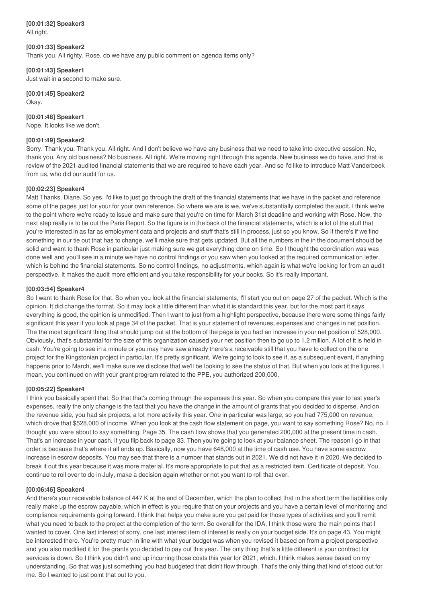**[00:01:32] Speaker3** All right.

#### **[00:01:33] Speaker2**

Thank you. All righty. Rose, do we have any public comment on agenda items only?

#### **[00:01:43] Speaker1**

Just wait in a second to make sure.

**[00:01:45] Speaker2** Okay.

#### **[00:01:48] Speaker1**

Nope. It looks like we don't.

#### **[00:01:49] Speaker2**

Sorry. Thank you. Thank you. All right. And I don't believe we have any business that we need to take into executive session. No, thank you. Any old business? No business. All right. We're moving right through this agenda. New business we do have, and that is review of the 2021 audited financial statements that we are required to have each year. And so I'd like to introduce Matt Vanderbeek from us, who did our audit for us.

#### **[00:02:23] Speaker4**

Matt Thanks. Diane. So yes, I'd like to just go through the draft of the financial statements that we have in the packet and reference some of the pages just for your for your own reference. So where we are is we, we've substantially completed the audit. I think we're to the point where we're ready to issue and make sure that you're on time for March 31st deadline and working with Rose. Now, the next step really is to tie out the Paris Report. So the figure is in the back of the financial statements, which is a lot of the stuff that you're interested in as far as employment data and projects and stuff that's still in process, just so you know. So if there's if we find something in our tie out that has to change, we'll make sure that gets updated. But all the numbers in the in the document should be solid and want to thank Rose in particular just making sure we get everything done on time. So I thought the coordination was was done well and you'll see in a minute we have no control findings or you saw when you looked at the required communication letter, which is behind the financial statements. So no control findings, no adjustments, which again is what we're looking for from an audit perspective. It makes the audit more efficient and you take responsibility for your books. So it's really important.

#### **[00:03:54] Speaker4**

So I want to thank Rose for that. So when you look at the financial statements, I'll start you out on page 27 of the packet. Which is the opinion. It did change the format. So it may look a little different than what it is standard this year, but for the most part it says everything is good, the opinion is unmodified. Then I want to just from a highlight perspective, because there were some things fairly significant this year if you look at page 34 of the packet. That is your statement of revenues, expenses and changes in net position. The the most significant thing that should jump out at the bottom of the page is you had an increase in your net position of 528,000. Obviously, that's substantial for the size of this organization caused your net position then to go up to 1.2 million. A lot of it is held in cash. You're going to see in a minute or you may have saw already there's a receivable still that you have to collect on the one project for the Kingstonian project in particular. It's pretty significant. We're going to look to see if, as a subsequent event, if anything happens prior to March, we'll make sure we disclose that we'll be looking to see the status of that. But when you look at the figures, I mean, you continued on with your grant program related to the PPE, you authorized 200,000.

#### **[00:05:22] Speaker4**

I think you basically spent that. So that that's coming through the expenses this year. So when you compare this year to last year's expenses, really the only change is the fact that you have the change in the amount of grants that you decided to disperse. And on the revenue side, you had six projects, a lot more activity this year. One in particular was large, so you had 775,000 on revenue, which drove that \$528,000 of income. When you look at the cash flow statement on page, you want to say something Rose? No, no. I thought you were about to say something. Page 35. The cash flow shows that you generated 200,000 at the present time in cash. That's an increase in your cash. If you flip back to page 33. Then you're going to look at your balance sheet. The reason I go in that order is because that's where it all ends up. Basically, now you have 648,000 at the time of cash use. You have some escrow increase in escrow deposits. You may see that there is a number that stands out in 2021. We did not have it in 2020. We decided to break it out this year because it was more material. It's more appropriate to put that as a restricted item. Certificate of deposit. You continue to roll over to do in July, make a decision again whether or not you want to roll that over.

#### **[00:06:46] Speaker4**

And there's your receivable balance of 447 K at the end of December, which the plan to collect that in the short term the liabilities only really make up the escrow payable, which in effect is you require that on your projects and you have a certain level of monitoring and compliance requirements going forward. I think that helps you make sure you get paid for those types of activities and you'll remit what you need to back to the project at the completion of the term. So overall for the IDA, I think those were the main points that I wanted to cover. One last interest of sorry, one last interest item of interest is really on your budget side. It's on page 43. You might be interested there. You're pretty much in line with what your budget was when you revised it based on from a project perspective and you also modified it for the grants you decided to pay out this year. The only thing that's a little different is your contract for services is down. So I think you didn't end up incurring those costs this year for 2021, which. I think makes sense based on my understanding. So that was just something you had budgeted that didn't flow through. That's the only thing that kind of stood out for me. So I wanted to just point that out to you.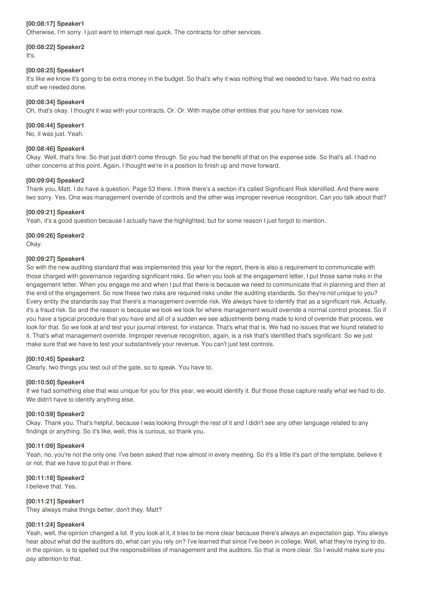#### **[00:08:17] Speaker1**

Otherwise, I'm sorry. I just want to interrupt real quick. The contracts for other services.

## **[00:08:22] Speaker2**

It's.

#### **[00:08:25] Speaker1**

It's like we know it's going to be extra money in the budget. So that's why it was nothing that we needed to have. We had no extra stuff we needed done.

#### **[00:08:34] Speaker4**

Oh, that's okay. I thought it was with your contracts. Or. Or. With maybe other entities that you have for services now.

#### **[00:08:44] Speaker1**

No, it was just. Yeah.

#### **[00:08:46] Speaker4**

Okay. Well, that's fine. So that just didn't come through. So you had the benefit of that on the expense side. So that's all. I had no other concerns at this point. Again, I thought we're in a position to finish up and move forward.

#### **[00:09:04] Speaker2**

Thank you, Matt. I do have a question. Page 53 there. I think there's a section it's called Significant Risk Identified. And there were two sorry. Yes. One was management override of controls and the other was improper revenue recognition. Can you talk about that?

#### **[00:09:21] Speaker4**

Yeah, it's a good question because I actually have the highlighted, but for some reason I just forgot to mention.

**[00:09:26] Speaker2** Okay.

#### **[00:09:27] Speaker4**

So with the new auditing standard that was implemented this year for the report, there is also a requirement to communicate with those charged with governance regarding significant risks. So when you look at the engagement letter, I put those same risks in the engagement letter. When you engage me and when I put that there is because we need to communicate that in planning and then at the end of the engagement. So now these two risks are required risks under the auditing standards. So they're not unique to you? Every entity the standards say that there's a management override risk. We always have to identify that as a significant risk. Actually, it's a fraud risk. So and the reason is because we look we look for where management would override a normal control process. So if you have a typical procedure that you have and all of a sudden we see adjustments being made to kind of override that process, we look for that. So we look at and test your journal interest, for instance. That's what that is. We had no issues that we found related to it. That's what management override. Improper revenue recognition, again, is a risk that's identified that's significant. So we just make sure that we have to test your substantively your revenue. You can't just test controls.

#### **[00:10:45] Speaker2**

Clearly, two things you test out of the gate, so to speak. You have to.

#### **[00:10:50] Speaker4**

If we had something else that was unique for you for this year, we would identify it. But those those capture really what we had to do. We didn't have to identify anything else.

#### **[00:10:59] Speaker2**

Okay. Thank you. That's helpful, because I was looking through the rest of it and I didn't see any other language related to any findings or anything. So it's like, well, this is curious, so thank you.

#### **[00:11:09] Speaker4**

Yeah, no, you're not the only one. I've been asked that now almost in every meeting. So it's a little it's part of the template, believe it or not, that we have to put that in there.

#### **[00:11:18] Speaker2**

I believe that. Yes.

**[00:11:21] Speaker1**

They always make things better, don't they, Matt?

#### **[00:11:24] Speaker4**

Yeah, well, the opinion changed a lot. If you look at it, it tries to be more clear because there's always an expectation gap. You always hear about what did the auditors do, what can you rely on? I've learned that since I've been in college. Well, what they're trying to do, in the opinion, is to spelled out the responsibilities of management and the auditors. So that is more clear. So I would make sure you pay attention to that.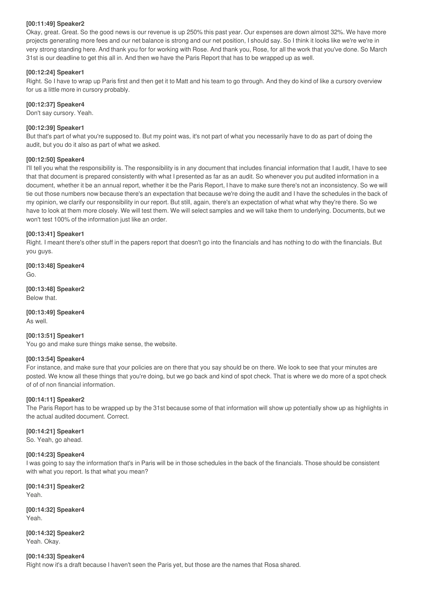#### **[00:11:49] Speaker2**

Okay, great. Great. So the good news is our revenue is up 250% this past year. Our expenses are down almost 32%. We have more projects generating more fees and our net balance is strong and our net position, I should say. So I think it looks like we're we're in very strong standing here. And thank you for for working with Rose. And thank you, Rose, for all the work that you've done. So March 31st is our deadline to get this all in. And then we have the Paris Report that has to be wrapped up as well.

#### **[00:12:24] Speaker1**

Right. So I have to wrap up Paris first and then get it to Matt and his team to go through. And they do kind of like a cursory overview for us a little more in cursory probably.

#### **[00:12:37] Speaker4**

Don't say cursory. Yeah.

#### **[00:12:39] Speaker1**

But that's part of what you're supposed to. But my point was, it's not part of what you necessarily have to do as part of doing the audit, but you do it also as part of what we asked.

#### **[00:12:50] Speaker4**

I'll tell you what the responsibility is. The responsibility is in any document that includes financial information that I audit, I have to see that that document is prepared consistently with what I presented as far as an audit. So whenever you put audited information in a document, whether it be an annual report, whether it be the Paris Report, I have to make sure there's not an inconsistency. So we will tie out those numbers now because there's an expectation that because we're doing the audit and I have the schedules in the back of my opinion, we clarify our responsibility in our report. But still, again, there's an expectation of what what why they're there. So we have to look at them more closely. We will test them. We will select samples and we will take them to underlying. Documents, but we won't test 100% of the information just like an order.

#### **[00:13:41] Speaker1**

Right. I meant there's other stuff in the papers report that doesn't go into the financials and has nothing to do with the financials. But you guys.

**[00:13:48] Speaker4** Go.

**[00:13:48] Speaker2** Below that.

**[00:13:49] Speaker4** As well.

#### **[00:13:51] Speaker1**

You go and make sure things make sense, the website.

#### **[00:13:54] Speaker4**

For instance, and make sure that your policies are on there that you say should be on there. We look to see that your minutes are posted. We know all these things that you're doing, but we go back and kind of spot check. That is where we do more of a spot check of of of non financial information.

#### **[00:14:11] Speaker2**

The Paris Report has to be wrapped up by the 31st because some of that information will show up potentially show up as highlights in the actual audited document. Correct.

#### **[00:14:21] Speaker1**

So. Yeah, go ahead.

#### **[00:14:23] Speaker4**

I was going to say the information that's in Paris will be in those schedules in the back of the financials. Those should be consistent with what you report. Is that what you mean?

**[00:14:31] Speaker2** Yeah.

**[00:14:32] Speaker4** Yeah.

**[00:14:32] Speaker2** Yeah. Okay.

**[00:14:33] Speaker4** Right now it's a draft because I haven't seen the Paris yet, but those are the names that Rosa shared.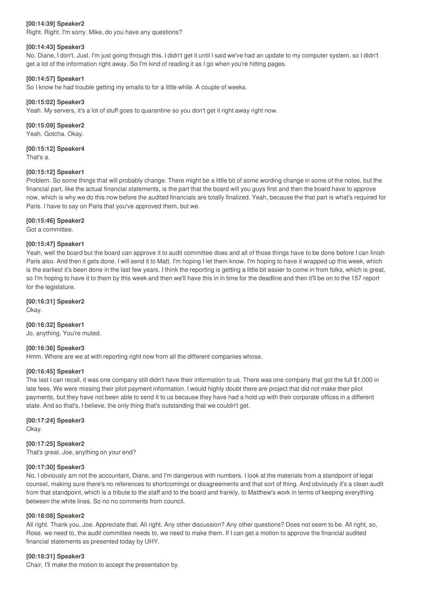#### **[00:14:39] Speaker2**

Right. Right. I'm sorry. Mike, do you have any questions?

#### **[00:14:43] Speaker3**

No, Diane, I don't. Just. I'm just going through this. I didn't get it until I said we've had an update to my computer system, so I didn't get a lot of the information right away. So I'm kind of reading it as I go when you're hitting pages.

#### **[00:14:57] Speaker1**

So I know he had trouble getting my emails to for a little while. A couple of weeks.

#### **[00:15:02] Speaker3**

Yeah. My servers, it's a lot of stuff goes to quarantine so you don't get it right away right now.

#### **[00:15:09] Speaker2** Yeah. Gotcha. Okay.

**[00:15:12] Speaker4** That's a.

#### **[00:15:12] Speaker1**

Problem. So some things that will probably change. There might be a little bit of some wording change in some of the notes, but the financial part, like the actual financial statements, is the part that the board will you guys first and then the board have to approve now, which is why we do this now before the audited financials are totally finalized. Yeah, because the that part is what's required for Paris. I have to say on Paris that you've approved them, but we.

#### **[00:15:46] Speaker2**

Got a committee.

#### **[00:15:47] Speaker1**

Yeah, well the board but the board can approve it to audit committee does and all of those things have to be done before I can finish Paris also. And then it gets done. I will send it to Matt. I'm hoping I let them know. I'm hoping to have it wrapped up this week, which is the earliest it's been done in the last few years. I think the reporting is getting a little bit easier to come in from folks, which is great, so I'm hoping to have it to them by this week and then we'll have this in in time for the deadline and then it'll be on to the 157 report for the legislature.

#### **[00:16:31] Speaker2**

Okay.

**[00:16:32] Speaker1**

Jo, anything. You're muted.

#### **[00:16:36] Speaker3**

Hmm. Where are we at with reporting right now from all the different companies whose.

#### **[00:16:45] Speaker1**

The last I can recall, it was one company still didn't have their information to us. There was one company that got the full \$1,000 in late fees. We were missing their pilot payment information. I would highly doubt there are project that did not make their pilot payments, but they have not been able to send it to us because they have had a hold up with their corporate offices in a different state. And so that's, I believe, the only thing that's outstanding that we couldn't get.

#### **[00:17:24] Speaker3**

Okay.

#### **[00:17:25] Speaker2**

That's great. Joe, anything on your end?

#### **[00:17:30] Speaker3**

No, I obviously am not the accountant, Diane, and I'm dangerous with numbers. I look at the materials from a standpoint of legal counsel, making sure there's no references to shortcomings or disagreements and that sort of thing. And obviously it's a clean audit from that standpoint, which is a tribute to the staff and to the board and frankly, to Matthew's work in terms of keeping everything between the white lines. So no no comments from council.

#### **[00:18:08] Speaker2**

All right. Thank you, Joe. Appreciate that. All right. Any other discussion? Any other questions? Does not seem to be. All right, so, Rose, we need to, the audit committee needs to, we need to make them. If I can get a motion to approve the financial audited financial statements as presented today by UHY.

#### **[00:18:31] Speaker3**

Chair, I'll make the motion to accept the presentation by.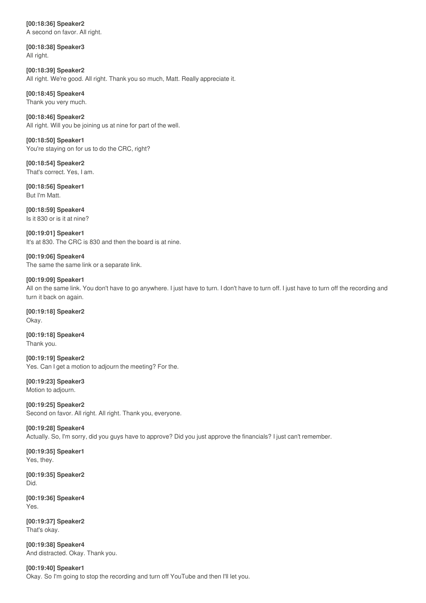**[00:18:36] Speaker2** A second on favor. All right.

**[00:18:38] Speaker3** All right.

**[00:18:39] Speaker2** All right. We're good. All right. Thank you so much, Matt. Really appreciate it.

**[00:18:45] Speaker4** Thank you very much.

**[00:18:46] Speaker2** All right. Will you be joining us at nine for part of the well.

**[00:18:50] Speaker1** You're staying on for us to do the CRC, right?

**[00:18:54] Speaker2** That's correct. Yes, I am.

**[00:18:56] Speaker1** But I'm Matt.

**[00:18:59] Speaker4** Is it 830 or is it at nine?

**[00:19:01] Speaker1** It's at 830. The CRC is 830 and then the board is at nine.

**[00:19:06] Speaker4** The same the same link or a separate link.

### **[00:19:09] Speaker1**

All on the same link. You don't have to go anywhere. I just have to turn. I don't have to turn off. I just have to turn off the recording and turn it back on again.

**[00:19:18] Speaker2** Okay.

**[00:19:18] Speaker4** Thank you.

**[00:19:19] Speaker2** Yes. Can I get a motion to adjourn the meeting? For the.

**[00:19:23] Speaker3** Motion to adjourn.

**[00:19:25] Speaker2** Second on favor. All right. All right. Thank you, everyone.

**[00:19:28] Speaker4** Actually. So, I'm sorry, did you guys have to approve? Did you just approve the financials? I just can't remember.

**[00:19:35] Speaker1** Yes, they.

**[00:19:35] Speaker2** Did.

**[00:19:36] Speaker4** Yes.

**[00:19:37] Speaker2** That's okay.

**[00:19:38] Speaker4** And distracted. Okay. Thank you.

**[00:19:40] Speaker1** Okay. So I'm going to stop the recording and turn off YouTube and then I'll let you.